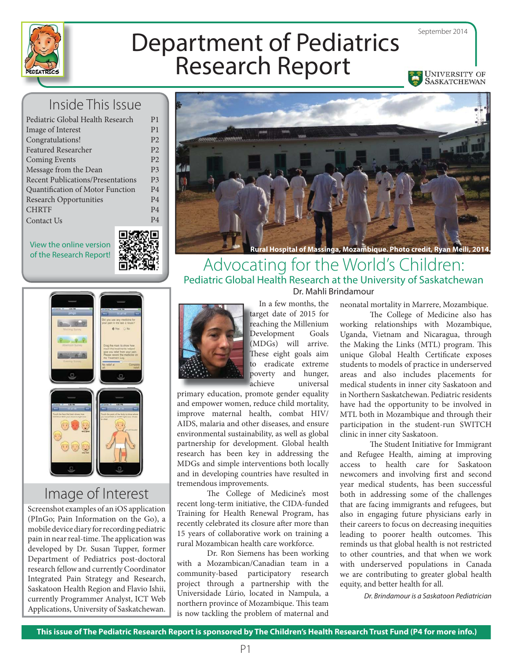

# Department of Pediatrics Research Report

September 2014

UNIVERSITY OF<br>SASKATCHEWAN

### Inside This Issue

| Pediatric Global Health Research         | P <sub>1</sub> |
|------------------------------------------|----------------|
| Image of Interest                        | P <sub>1</sub> |
| Congratulations!                         | P <sub>2</sub> |
| <b>Featured Researcher</b>               | P <sub>2</sub> |
| <b>Coming Events</b>                     | P <sub>2</sub> |
| Message from the Dean                    | P <sub>3</sub> |
| <b>Recent Publications/Presentations</b> | P <sub>3</sub> |
| Quantification of Motor Function         | P <sub>4</sub> |
| <b>Research Opportunities</b>            | P <sub>4</sub> |
| <b>CHRTF</b>                             | P <sub>4</sub> |
| Contact Us                               | P <sub>4</sub> |
|                                          |                |

View the online version





#### Advocating for the World's Children: Pediatric Global Health Research at the University of Saskatchewan Dr. Mahli Brindamour



## Image of Interest

Screenshot examples of an iOS application (PInGo; Pain Information on the Go), a mobile device diary for recording pediatric pain in near real-time. The application was developed by Dr. Susan Tupper, former Department of Pediatrics post-doctoral research fellow and currently Coordinator Integrated Pain Strategy and Research, Saskatoon Health Region and Flavio Ishii, currently Programmer Analyst, ICT Web Applications, University of Saskatchewan.



 In a few months, the target date of 2015 for ta reaching the Millenium Development Goals D (MDGs) will arrive. (M These eight goals aim to eradicate extreme poverty and hunger, p universal achieve

primary education, promote gender equality and empower women, reduce child mortality, improve maternal health, combat HIV/ AIDS, malaria and other diseases, and ensure environmental sustainability, as well as global partnership for development. Global health research has been key in addressing the MDGs and simple interventions both locally and in developing countries have resulted in tremendous improvements.

The College of Medicine's most recent long-term initiative, the CIDA-funded Training for Health Renewal Program, has recently celebrated its closure after more than 15 years of collaborative work on training a rural Mozambican health care workforce.

 Dr. Ron Siemens has been working with a Mozambican/Canadian team in a community-based participatory research project through a partnership with the Universidade Lúrio, located in Nampula, a northern province of Mozambique. This team is now tackling the problem of maternal and neonatal mortality in Marrere, Mozambique.

The College of Medicine also has working relationships with Mozambique, Uganda, Vietnam and Nicaragua, through the Making the Links (MTL) program. This unique Global Health Certificate exposes students to models of practice in underserved areas and also includes placements for medical students in inner city Saskatoon and in Northern Saskatchewan. Pediatric residents have had the opportunity to be involved in MTL both in Mozambique and through their participation in the student-run SWITCH clinic in inner city Saskatoon.

The Student Initiative for Immigrant and Refugee Health, aiming at improving access to health care for Saskatoon newcomers and involving first and second year medical students, has been successful both in addressing some of the challenges that are facing immigrants and refugees, but also in engaging future physicians early in their careers to focus on decreasing inequities leading to poorer health outcomes. This reminds us that global health is not restricted to other countries, and that when we work with underserved populations in Canada we are contributing to greater global health equity, and better health for all.

Dr. Brindamour is a Saskatoon Pediatrician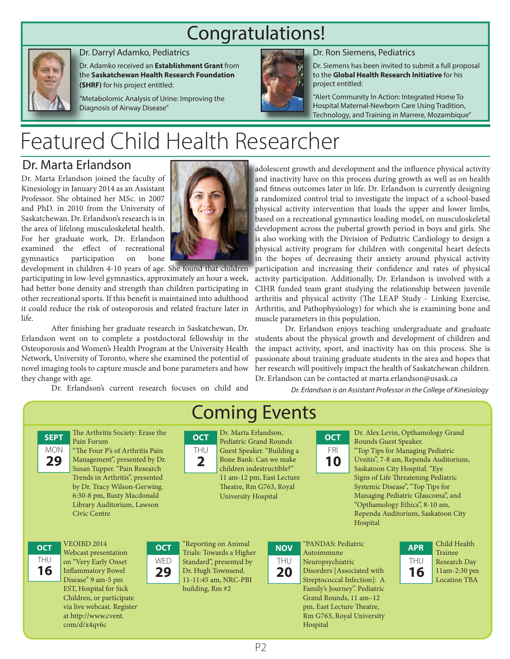## Congratulations!



#### Dr. Darryl Adamko, Pediatrics D

Dr. Adamko received an **Establishment Grant** from Dr the **Saskatchewan Health Research Foundation**  th **(SHRF)** for his project entitled: **(S**

"Metabolomic Analysis of Urine: Improving the "M Diagnosis of Airway Disease" Di



#### Dr. Ron Siemens, Pediatrics D

Dr. Siemens has been invited to submit a full proposal D to the **Global Health Research Initiative** for his t project entitled: p

"Alert Community In Action: Integrated Home To " Hospital Maternal-Newborn Care Using Tradition, H Technology, and Training in Marrere, Mozambique" T

# Featured Child Health Researcher

#### Dr. Marta Erlandson

Dr. Marta Erlandson joined the faculty of Kinesiology in January 2014 as an Assistant Professor. She obtained her MSc. in 2007 and PhD. in 2010 from the University of Saskatchewan. Dr. Erlandson's research is in the area of lifelong musculoskeletal health. For her graduate work, Dr. Erlandson examined the effect of recreational gymnastics participation on bone

> via live webcast. Register at http://www.cvent. com/d/x4qv6c



development in children 4-10 years of age. She found that children participating in low-level gymnastics, approximately an hour a week, had better bone density and strength than children participating in other recreational sports. If this benefit is maintained into adulthood it could reduce the risk of osteoporosis and related fracture later in life.

After finishing her graduate research in Saskatchewan, Dr. Erlandson went on to complete a postdoctoral fellowship in the Osteoporosis and Women's Health Program at the University Health Network, University of Toronto, where she examined the potential of novel imaging tools to capture muscle and bone parameters and how they change with age.

Dr. Erlandson's current research focuses on child and

adolescent growth and development and the influence physical activity and inactivity have on this process during growth as well as on health and fitness outcomes later in life. Dr. Erlandson is currently designing a randomized control trial to investigate the impact of a school-based physical activity intervention that loads the upper and lower limbs, based on a recreational gymnastics loading model, on musculoskeletal development across the pubertal growth period in boys and girls. She is also working with the Division of Pediatric Cardiology to design a physical activity program for children with congenital heart defects in the hopes of decreasing their anxiety around physical activity participation and increasing their confidence and rates of physical activity participation. Additionally, Dr. Erlandson is involved with a CIHR funded team grant studying the relationship between juvenile arthritis and physical activity (The LEAP Study - Linking Exercise, Arthritis, and Pathophysiology) for which she is examining bone and muscle parameters in this population.

 Dr. Erlandson enjoys teaching undergraduate and graduate students about the physical growth and development of children and the impact activity, sport, and inactivity has on this process. She is passionate about training graduate students in the area and hopes that her research will positively impact the health of Saskatchewan children. Dr. Erlandson can be contacted at marta.erlandson@usask.ca

Dr. Erlandson is an Assistant Professor in the College of Kinesiology



pm, East Lecture Theatre, Rm G763, Royal University Hospital

P2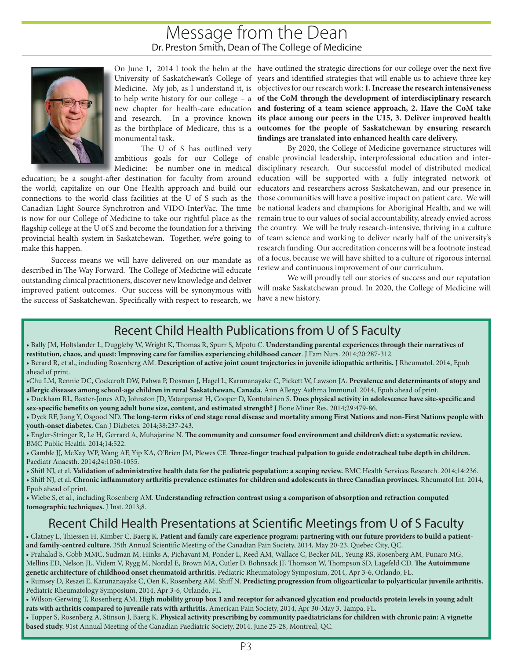#### Message from the Dean Dr. Preston Smith, Dean of The College of Medicine



monumental task.

The U of S has outlined very

provincial health system in Saskatchewan. Together, we're going to make this happen.

Success means we will have delivered on our mandate as described in The Way Forward. The College of Medicine will educate outstanding clinical practitioners, discover new knowledge and deliver improved patient outcomes. Our success will be synonymous with the success of Saskatchewan. Specifically with respect to research, we

On June 1, 2014 I took the helm at the have outlined the strategic directions for our college over the next five University of Saskatchewan's College of years and identified strategies that will enable us to achieve three key Medicine. My job, as I understand it, is objectives for our research work: **1. Increase the research intensiveness**  to help write history for our college – a **of the CoM through the development of interdisciplinary research**  new chapter for health-care education **and fostering of a team science approach, 2. Have the CoM take**  and research. In a province known **its place among our peers in the U15, 3. Deliver improved health**  as the birthplace of Medicare, this is a **outcomes for the people of Saskatchewan by ensuring research**  findings are translated into enhanced health care delivery.

ambitious goals for our College of enable provincial leadership, interprofessional education and inter-Medicine: be number one in medical disciplinary research. Our successful model of distributed medical education; be a sought-after destination for faculty from around education will be supported with a fully integrated network of the world; capitalize on our One Health approach and build our educators and researchers across Saskatchewan, and our presence in connections to the world class facilities at the U of S such as the those communities will have a positive impact on patient care. We will Canadian Light Source Synchrotron and VIDO-InterVac. The time be national leaders and champions for Aboriginal Health, and we will is now for our College of Medicine to take our rightful place as the remain true to our values of social accountability, already envied across flagship college at the U of S and become the foundation for a thriving the country. We will be truly research-intensive, thriving in a culture By 2020, the College of Medicine governance structures will of team science and working to deliver nearly half of the university's research funding. Our accreditation concerns will be a footnote instead of a focus, because we will have shifted to a culture of rigorous internal review and continuous improvement of our curriculum.

> We will proudly tell our stories of success and our reputation will make Saskatchewan proud. In 2020, the College of Medicine will have a new history.

#### Recent Child Health Publications from U of S Faculty

- Bally JM, Holtslander L, Duggleby W, Wright K, Thomas R, Spurr S, Mpofu C. Understanding parental experiences through their narratives of **restitution, chaos, and quest: Improving care for families experiencing childhood cancer**. J Fam Nurs. 2014;20:287-312.
- Berard R, et al., including Rosenberg AM. **Description of active joint count trajectories in juvenile idiopathic arthritis.** J Rheumatol. 2014, Epub ahead of print.
- •Chu LM, Rennie DC, Cockcroft DW, Pahwa P, Dosman J, Hagel L, Karunanayake C, Pickett W, Lawson JA. **Prevalence and determinants of atopy and allergic diseases among school-age children in rural Saskatchewan, Canada.** Ann Allergy Asthma Immunol. 2014, Epub ahead of print.
- Duckham RL, Baxter-Jones AD, Johnston JD, Vatanparast H, Cooper D, Kontulainen S. **Does physical activity in adolescence have site-specifi c and sex-specific benefits on young adult bone size, content, and estimated strength?** J Bone Miner Res. 2014;29:479-86.
- Dyck RF, Jiang Y, Osgood ND. **Th e long-term risks of end stage renal disease and mortality among First Nations and non-First Nations people with youth-onset diabetes.** Can J Diabetes. 2014;38:237-243.
- Engler-Stringer R, Le H, Gerrard A, Muhajarine N. The community and consumer food environment and children's diet: a systematic review. BMC Public Health. 2014;14:522.
- Gamble JJ, McKay WP, Wang AF, Yip KA, O'Brien JM, Plewes CE. Three-finger tracheal palpation to guide endotracheal tube depth in children. Paediatr Anaesth. 2014;24:1050-1055.
- Shiff NJ, et al. **Validation of administrative health data for the pediatric population: a scoping review.** BMC Health Services Research. 2014;14:236.
- Shiff NJ, et al. Chronic inflammatory arthritis prevalence estimates for children and adolescents in three Canadian provinces. Rheumatol Int. 2014, Epub ahead of print.
- Wiebe S, et al., including Rosenberg AM. **Understanding refraction contrast using a comparison of absorption and refraction computed tomographic techniques.** J Inst. 2013;8.

### Recent Child Health Presentations at Scientific Meetings from U of S Faculty

- Clatney L, Thiessen H, Kimber C, Baerg K. Patient and family care experience program: partnering with our future providers to build a patientand family-centred culture. 35th Annual Scientific Meeting of the Canadian Pain Society, 2014, May 20-23, Quebec City, QC.
- Prahalad S, Cobb MMC, Sudman M, Hinks A, Pichavant M, Ponder L, Reed AM, Wallace C, Becker ML, Yeung RS, Rosenberg AM, Punaro MG, Mellins ED, Nelson JL, Videm V, Rygg M, Nordal E, Brown MA, Cutler D, Bohnsack JF, Thomson W, Thompson SD, Lagefeld CD. The Autoimmune **genetic architecture of childhood onset rheumatoid arthritis.** Pediatric Rheumatology Symposium, 2014, Apr 3-6, Orlando, FL.
- Rumsey D, Resaei E, Karunanayake C, Oen K, Rosenberg AM, Shiff N. **Predicting progression from oligoarticular to polyarticular juvenile arthritis.**  Pediatric Rheumatology Symposium, 2014, Apr 3-6, Orlando, FL.
- Wilson-Gerwing T, Rosenberg AM. **High mobility group box 1 and receptor for advanced glycation end productds protein levels in young adult rats with arthritis compared to juvenile rats with arthritis.** American Pain Society, 2014, Apr 30-May 3, Tampa, FL.
- Tupper S, Rosenberg A, Stinson J, Baerg K. **Physical activity prescribing by community paediatricians for children with chronic pain: A vignette based study.** 91st Annual Meeting of the Canadian Paediatric Society, 2014, June 25-28, Montreal, QC.